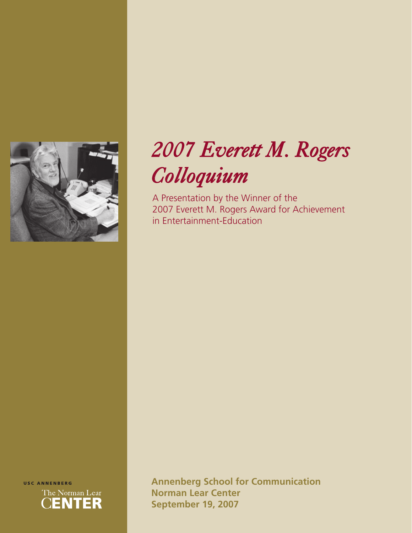

# *2007 Everett M. Rogers Colloquium*

A Presentation by the Winner of the 2007 Everett M. Rogers Award for Achievement in Entertainment-Education



**Annenberg School for Communication Norman Lear Center September 19, 2007**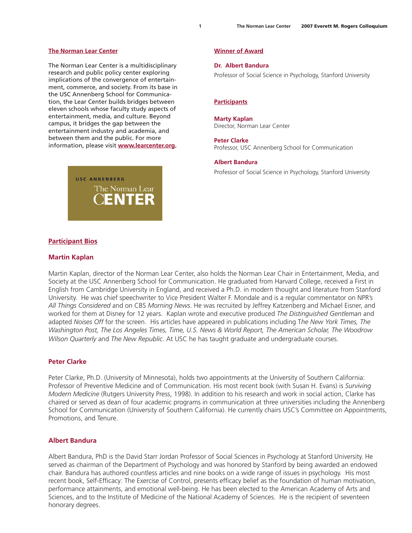#### **The Norman Lear Center**

The Norman Lear Center is a multidisciplinary research and public policy center exploring implications of the convergence of entertainment, commerce, and society. From its base in the USC Annenberg School for Communication, the Lear Center builds bridges between eleven schools whose faculty study aspects of entertainment, media, and culture. Beyond campus, it bridges the gap between the entertainment industry and academia, and between them and the public. For more information, please visit **[www.learcenter.org.](http://www.learcenter.org)**



#### **Winner of Award**

#### **Dr. Albert Bandura**

Professor of Social Science in Psychology, Stanford University

#### **Participants**

#### **[Marty Kaplan](http://www.learcenter.org/html/about/?&cm=kaplan)**

Director, Norman Lear Center

#### **Peter Clarke**

Professor, USC Annenberg School for Communication

#### **Albert Bandura**

Professor of Social Science in Psychology, Stanford University

# **Participant Bios**

#### **[Martin Kaplan](http://www.learcenter.org/html/about/?&cm=kaplan)**

Martin Kaplan, director of the Norman Lear Center, also holds the Norman Lear Chair in Entertainment, Media, and Society at the USC Annenberg School for Communication. He graduated from Harvard College, received a First in English from Cambridge University in England, and received a Ph.D. in modern thought and literature from Stanford University. He was chief speechwriter to Vice President Walter F. Mondale and is a regular commentator on NPR's *All Things Considered* and on CBS *Morning News*. He was recruited by Jeffrey Katzenberg and Michael Eisner, and worked for them at Disney for 12 years. Kaplan wrote and executive produced *The Distinguished Gentleman* and adapted *Noises Off* for the screen. His articles have appeared in publications including T*he New York Times, The Washington Post, The Los Angeles Times, Time, U.S. News & World Report, The American Scholar, The Woodrow Wilson Quarterly* and *The New Republic*. At USC he has taught graduate and undergraduate courses.

#### **Peter Clarke**

Peter Clarke, Ph.D. (University of Minnesota), holds two appointments at the University of Southern California: Professor of Preventive Medicine and of Communication. His most recent book (with Susan H. Evans) is *Surviving Modern Medicine* (Rutgers University Press, 1998). In addition to his research and work in social action, Clarke has chaired or served as dean of four academic programs in communication at three universities including the Annenberg School for Communication (University of Southern California). He currently chairs USC's Committee on Appointments, Promotions, and Tenure.

### **Albert Bandura**

Albert Bandura, PhD is the David Starr Jordan Professor of Social Sciences in Psychology at Stanford University. He served as chairman of the Department of Psychology and was honored by Stanford by being awarded an endowed chair. Bandura has authored countless articles and nine books on a wide range of issues in psychology. His most recent book, Self-Efficacy: The Exercise of Control, presents efficacy belief as the foundation of human motivation, performance attainments, and emotional well-being. He has been elected to the American Academy of Arts and Sciences, and to the Institute of Medicine of the National Academy of Sciences. He is the recipient of seventeen honorary degrees.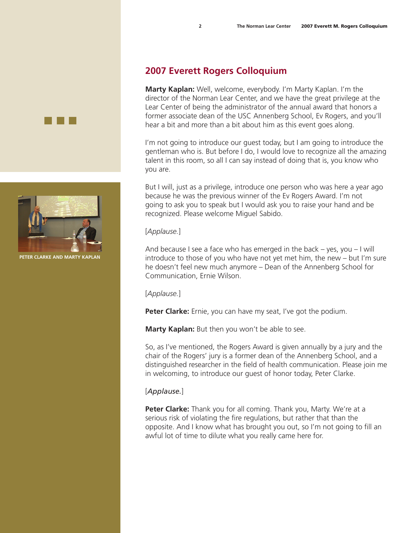# **2007 Everett Rogers Colloquium**

**Marty Kaplan:** Well, welcome, everybody. I'm Marty Kaplan. I'm the director of the Norman Lear Center, and we have the great privilege at the Lear Center of being the administrator of the annual award that honors a former associate dean of the USC Annenberg School, Ev Rogers, and you'll hear a bit and more than a bit about him as this event goes along.

I'm not going to introduce our guest today, but I am going to introduce the gentleman who is. But before I do, I would love to recognize all the amazing talent in this room, so all I can say instead of doing that is, you know who you are.

But I will, just as a privilege, introduce one person who was here a year ago because he was the previous winner of the Ev Rogers Award. I'm not going to ask you to speak but I would ask you to raise your hand and be recognized. Please welcome Miguel Sabido.

# [*Applause.*]

And because I see a face who has emerged in the back – yes, you – I will introduce to those of you who have not yet met him, the new – but I'm sure he doesn't feel new much anymore – Dean of the Annenberg School for Communication, Ernie Wilson.

[*Applause.*]

**Peter Clarke:** Ernie, you can have my seat, I've got the podium.

**Marty Kaplan:** But then you won't be able to see.

So, as I've mentioned, the Rogers Award is given annually by a jury and the chair of the Rogers' jury is a former dean of the Annenberg School, and a distinguished researcher in the field of health communication. Please join me in welcoming, to introduce our guest of honor today, Peter Clarke.

# [*Applause.*]

**Peter Clarke:** Thank you for all coming. Thank you, Marty. We're at a serious risk of violating the fire regulations, but rather that than the opposite. And I know what has brought you out, so I'm not going to fill an awful lot of time to dilute what you really came here for.



**Peter Clarke and Marty Kaplan**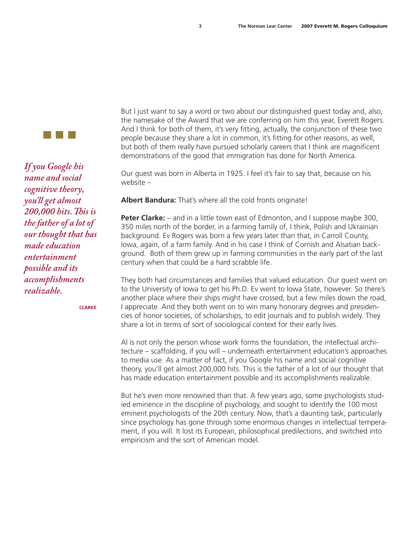

*If you Google his name and social cognitive theory, you'll get almost 200,000 hits. This is the father of a lot of our thought that has made education entertainment possible and its accomplishments realizable.*

**Clarke**

But I just want to say a word or two about our distinguished guest today and, also, the namesake of the Award that we are conferring on him this year, Everett Rogers. And I think for both of them, it's very fitting, actually, the conjunction of these two people because they share a lot in common, it's fitting for other reasons, as well, but both of them really have pursued scholarly careers that I think are magnificent demonstrations of the good that immigration has done for North America.

Our guest was born in Alberta in 1925. I feel it's fair to say that, because on his website –

**Albert Bandura:** That's where all the cold fronts originate!

**Peter Clarke:** – and in a little town east of Edmonton, and I suppose maybe 300, 350 miles north of the border, in a farming family of, I think, Polish and Ukrainian background. Ev Rogers was born a few years later than that, in Carroll County, Iowa, again, of a farm family. And in his case I think of Cornish and Alsatian background. Both of them grew up in farming communities in the early part of the last century when that could be a hard scrabble life.

They both had circumstances and families that valued education. Our guest went on to the University of Iowa to get his Ph.D. Ev went to Iowa State, however. So there's another place where their ships might have crossed, but a few miles down the road, I appreciate. And they both went on to win many honorary degrees and presidencies of honor societies, of scholarships, to edit journals and to publish widely. They share a lot in terms of sort of sociological context for their early lives.

Al is not only the person whose work forms the foundation, the intellectual architecture – scaffolding, if you will – underneath entertainment education's approaches to media use. As a matter of fact, if you Google his name and social cognitive theory, you'll get almost 200,000 hits. This is the father of a lot of our thought that has made education entertainment possible and its accomplishments realizable.

But he's even more renowned than that. A few years ago, some psychologists studied eminence in the discipline of psychology, and sought to identify the 100 most eminent psychologists of the 20th century. Now, that's a daunting task, particularly since psychology has gone through some enormous changes in intellectual temperament, if you will. It lost its European, philosophical predilections, and switched into empiricism and the sort of American model.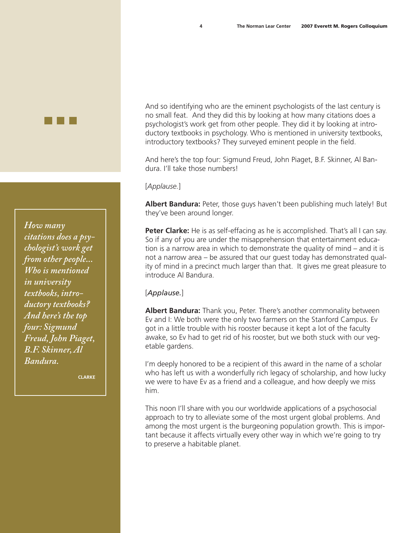And so identifying who are the eminent psychologists of the last century is no small feat. And they did this by looking at how many citations does a psychologist's work get from other people. They did it by looking at introductory textbooks in psychology. Who is mentioned in university textbooks, introductory textbooks? They surveyed eminent people in the field.

And here's the top four: Sigmund Freud, John Piaget, B.F. Skinner, Al Bandura. I'll take those numbers!

# [*Applause.*]

**Albert Bandura:** Peter, those guys haven't been publishing much lately! But they've been around longer.

**Peter Clarke:** He is as self-effacing as he is accomplished. That's all I can say. So if any of you are under the misapprehension that entertainment education is a narrow area in which to demonstrate the quality of mind – and it is not a narrow area – be assured that our guest today has demonstrated quality of mind in a precinct much larger than that. It gives me great pleasure to introduce Al Bandura.

# [*Applause.*]

**Albert Bandura:** Thank you, Peter. There's another commonality between Ev and I: We both were the only two farmers on the Stanford Campus. Ev got in a little trouble with his rooster because it kept a lot of the faculty awake, so Ev had to get rid of his rooster, but we both stuck with our vegetable gardens.

I'm deeply honored to be a recipient of this award in the name of a scholar who has left us with a wonderfully rich legacy of scholarship, and how lucky we were to have Ev as a friend and a colleague, and how deeply we miss him.

This noon I'll share with you our worldwide applications of a psychosocial approach to try to alleviate some of the most urgent global problems. And among the most urgent is the burgeoning population growth. This is important because it affects virtually every other way in which we're going to try to preserve a habitable planet.

*How many citations does a psychologist's work get from other people... Who is mentioned in university textbooks, introductory textbooks? And here's the top four: Sigmund Freud, John Piaget, B.F. Skinner, Al Bandura.*

**Clarke**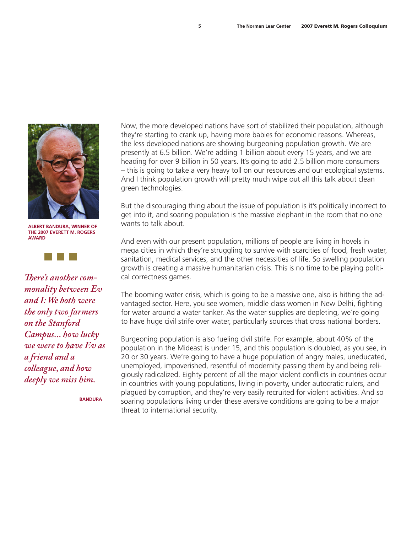

**Albert Bandura, Winner of the 2007 Everett M. Rogers Award**



*There's another commonality between Ev and I: We both were the only two farmers on the Stanford Campus... how lucky we were to have Ev as a friend and a colleague, and how deeply we miss him.*

**Bandura**

Now, the more developed nations have sort of stabilized their population, although they're starting to crank up, having more babies for economic reasons. Whereas, the less developed nations are showing burgeoning population growth. We are presently at 6.5 billion. We're adding 1 billion about every 15 years, and we are heading for over 9 billion in 50 years. It's going to add 2.5 billion more consumers – this is going to take a very heavy toll on our resources and our ecological systems. And I think population growth will pretty much wipe out all this talk about clean green technologies.

But the discouraging thing about the issue of population is it's politically incorrect to get into it, and soaring population is the massive elephant in the room that no one wants to talk about.

And even with our present population, millions of people are living in hovels in mega cities in which they're struggling to survive with scarcities of food, fresh water, sanitation, medical services, and the other necessities of life. So swelling population growth is creating a massive humanitarian crisis. This is no time to be playing political correctness games.

The booming water crisis, which is going to be a massive one, also is hitting the advantaged sector. Here, you see women, middle class women in New Delhi, fighting for water around a water tanker. As the water supplies are depleting, we're going to have huge civil strife over water, particularly sources that cross national borders.

Burgeoning population is also fueling civil strife. For example, about 40% of the population in the Mideast is under 15, and this population is doubled, as you see, in 20 or 30 years. We're going to have a huge population of angry males, uneducated, unemployed, impoverished, resentful of modernity passing them by and being religiously radicalized. Eighty percent of all the major violent conflicts in countries occur in countries with young populations, living in poverty, under autocratic rulers, and plagued by corruption, and they're very easily recruited for violent activities. And so soaring populations living under these aversive conditions are going to be a major threat to international security.

**5 5**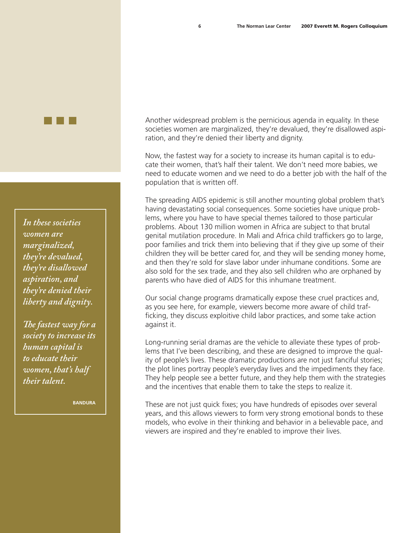*In these societies women are marginalized, they're devalued, they're disallowed aspiration, and they're denied their liberty and dignity.*

*The fastest way for a society to increase its human capital is to educate their women, that's half their talent.* 

**Bandura**

Another widespread problem is the pernicious agenda in equality. In these societies women are marginalized, they're devalued, they're disallowed aspiration, and they're denied their liberty and dignity.

**6 6** 

Now, the fastest way for a society to increase its human capital is to educate their women, that's half their talent. We don't need more babies, we need to educate women and we need to do a better job with the half of the population that is written off.

The spreading AIDS epidemic is still another mounting global problem that's having devastating social consequences. Some societies have unique problems, where you have to have special themes tailored to those particular problems. About 130 million women in Africa are subject to that brutal genital mutilation procedure. In Mali and Africa child traffickers go to large, poor families and trick them into believing that if they give up some of their children they will be better cared for, and they will be sending money home, and then they're sold for slave labor under inhumane conditions. Some are also sold for the sex trade, and they also sell children who are orphaned by parents who have died of AIDS for this inhumane treatment.

Our social change programs dramatically expose these cruel practices and, as you see here, for example, viewers become more aware of child trafficking, they discuss exploitive child labor practices, and some take action against it.

Long-running serial dramas are the vehicle to alleviate these types of problems that I've been describing, and these are designed to improve the quality of people's lives. These dramatic productions are not just fanciful stories; the plot lines portray people's everyday lives and the impediments they face. They help people see a better future, and they help them with the strategies and the incentives that enable them to take the steps to realize it.

These are not just quick fixes; you have hundreds of episodes over several years, and this allows viewers to form very strong emotional bonds to these models, who evolve in their thinking and behavior in a believable pace, and viewers are inspired and they're enabled to improve their lives.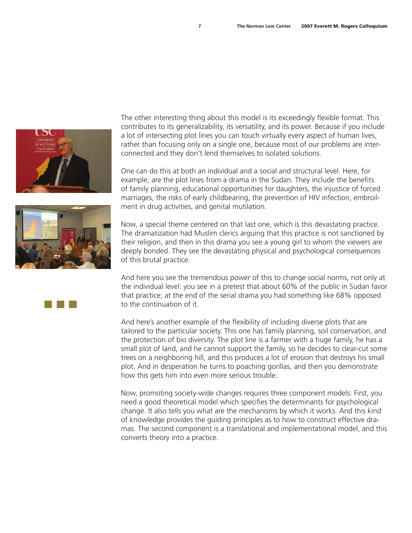



The other interesting thing about this model is its exceedingly flexible format. This contributes to its generalizability, its versatility, and its power. Because if you include a lot of intersecting plot lines you can touch virtually every aspect of human lives, rather than focusing only on a single one, because most of our problems are interconnected and they don't lend themselves to isolated solutions.

One can do this at both an individual and a social and structural level. Here, for example, are the plot lines from a drama in the Sudan. They include the benefits of family planning, educational opportunities for daughters, the injustice of forced marriages, the risks of early childbearing, the prevention of HIV infection, embroilment in drug activities, and genital mutilation.

Now, a special theme centered on that last one, which is this devastating practice. The dramatization had Muslim clerics arguing that this practice is not sanctioned by their religion, and then in this drama you see a young girl to whom the viewers are deeply bonded. They see the devastating physical and psychological consequences of this brutal practice.

And here you see the tremendous power of this to change social norms, not only at the individual level: you see in a pretest that about 60% of the public in Sudan favor that practice; at the end of the serial drama you had something like 68% opposed to the continuation of it.

And here's another example of the flexibility of including diverse plots that are tailored to the particular society. This one has family planning, soil conservation, and the protection of bio diversity. The plot line is a farmer with a huge family, he has a small plot of land, and he cannot support the family, so he decides to clear-cut some trees on a neighboring hill, and this produces a lot of erosion that destroys his small plot. And in desperation he turns to poaching gorillas, and then you demonstrate how this gets him into even more serious trouble.

Now, promoting society-wide changes requires three component models: First, you need a good theoretical model which specifies the determinants for psychological change. It also tells you what are the mechanisms by which it works. And this kind of knowledge provides the guiding principles as to how to construct effective dramas. The second component is a translational and implementational model, and this converts theory into a practice.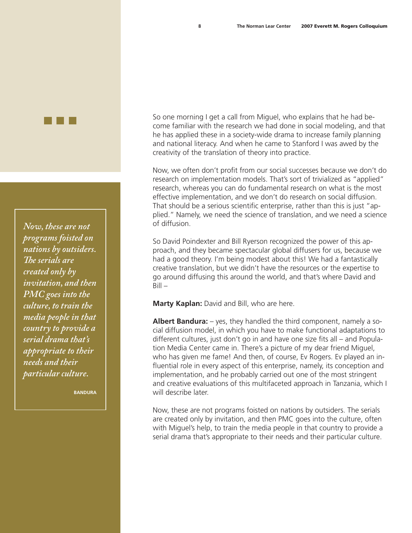*Now, these are not programs foisted on nations by outsiders. The serials are created only by invitation, and then PMC goes into the culture, to train the media people in that country to provide a serial drama that's appropriate to their needs and their particular culture.*

**Bandura**

So one morning I get a call from Miguel, who explains that he had become familiar with the research we had done in social modeling, and that he has applied these in a society-wide drama to increase family planning and national literacy. And when he came to Stanford I was awed by the creativity of the translation of theory into practice.

Now, we often don't profit from our social successes because we don't do research on implementation models. That's sort of trivialized as "applied" research, whereas you can do fundamental research on what is the most effective implementation, and we don't do research on social diffusion. That should be a serious scientific enterprise, rather than this is just "applied." Namely, we need the science of translation, and we need a science of diffusion.

So David Poindexter and Bill Ryerson recognized the power of this approach, and they became spectacular global diffusers for us, because we had a good theory. I'm being modest about this! We had a fantastically creative translation, but we didn't have the resources or the expertise to go around diffusing this around the world, and that's where David and  $Bill -$ 

**Marty Kaplan:** David and Bill, who are here.

**Albert Bandura:** – yes, they handled the third component, namely a social diffusion model, in which you have to make functional adaptations to different cultures, just don't go in and have one size fits all – and Population Media Center came in. There's a picture of my dear friend Miguel, who has given me fame! And then, of course, Ev Rogers. Ev played an influential role in every aspect of this enterprise, namely, its conception and implementation, and he probably carried out one of the most stringent and creative evaluations of this multifaceted approach in Tanzania, which I will describe later.

Now, these are not programs foisted on nations by outsiders. The serials are created only by invitation, and then PMC goes into the culture, often with Miguel's help, to train the media people in that country to provide a serial drama that's appropriate to their needs and their particular culture.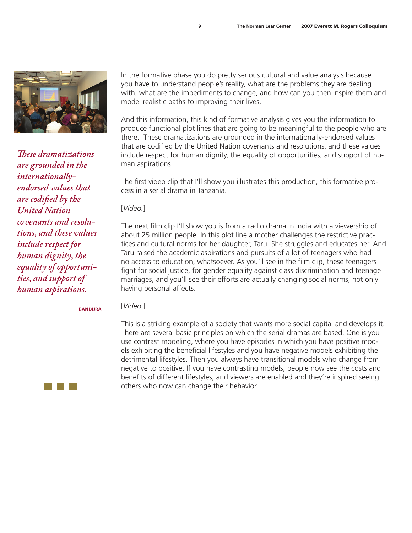

*These dramatizations are grounded in the internationallyendorsed values that are codified by the United Nation covenants and resolutions, and these values include respect for human dignity, the equality of opportunities, and support of human aspirations.*

In the formative phase you do pretty serious cultural and value analysis because you have to understand people's reality, what are the problems they are dealing with, what are the impediments to change, and how can you then inspire them and model realistic paths to improving their lives.

And this information, this kind of formative analysis gives you the information to produce functional plot lines that are going to be meaningful to the people who are there. These dramatizations are grounded in the internationally-endorsed values that are codified by the United Nation covenants and resolutions, and these values include respect for human dignity, the equality of opportunities, and support of human aspirations.

The first video clip that I'll show you illustrates this production, this formative process in a serial drama in Tanzania.

[*Video.*]

The next film clip I'll show you is from a radio drama in India with a viewership of about 25 million people. In this plot line a mother challenges the restrictive practices and cultural norms for her daughter, Taru. She struggles and educates her. And Taru raised the academic aspirations and pursuits of a lot of teenagers who had no access to education, whatsoever. As you'll see in the film clip, these teenagers fight for social justice, for gender equality against class discrimination and teenage marriages, and you'll see their efforts are actually changing social norms, not only having personal affects.

**Bandura**

[*Video.*]

This is a striking example of a society that wants more social capital and develops it. There are several basic principles on which the serial dramas are based. One is you use contrast modeling, where you have episodes in which you have positive models exhibiting the beneficial lifestyles and you have negative models exhibiting the detrimental lifestyles. Then you always have transitional models who change from negative to positive. If you have contrasting models, people now see the costs and benefits of different lifestyles, and viewers are enabled and they're inspired seeing others who now can change their behavior.

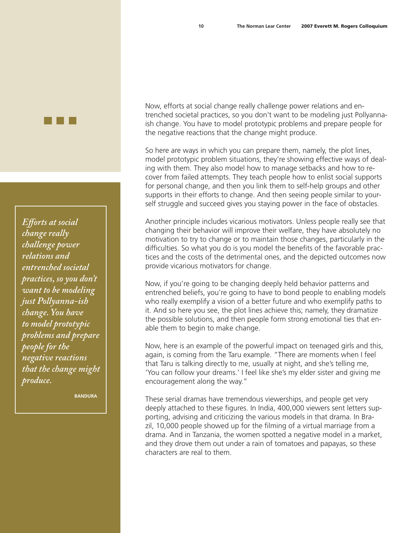*Efforts at social change really challenge power relations and entrenched societal practices, so you don't want to be modeling just Pollyanna-ish change. You have to model prototypic problems and prepare people for the negative reactions that the change might produce.*

**Bandura**

Now, efforts at social change really challenge power relations and entrenched societal practices, so you don't want to be modeling just Pollyannaish change. You have to model prototypic problems and prepare people for the negative reactions that the change might produce.

So here are ways in which you can prepare them, namely, the plot lines, model prototypic problem situations, they're showing effective ways of dealing with them. They also model how to manage setbacks and how to recover from failed attempts. They teach people how to enlist social supports for personal change, and then you link them to self-help groups and other supports in their efforts to change. And then seeing people similar to yourself struggle and succeed gives you staying power in the face of obstacles.

Another principle includes vicarious motivators. Unless people really see that changing their behavior will improve their welfare, they have absolutely no motivation to try to change or to maintain those changes, particularly in the difficulties. So what you do is you model the benefits of the favorable practices and the costs of the detrimental ones, and the depicted outcomes now provide vicarious motivators for change.

Now, if you're going to be changing deeply held behavior patterns and entrenched beliefs, you're going to have to bond people to enabling models who really exemplify a vision of a better future and who exemplify paths to it. And so here you see, the plot lines achieve this; namely, they dramatize the possible solutions, and then people form strong emotional ties that enable them to begin to make change.

Now, here is an example of the powerful impact on teenaged girls and this, again, is coming from the Taru example. "There are moments when I feel that Taru is talking directly to me, usually at night, and she's telling me, 'You can follow your dreams.' I feel like she's my elder sister and giving me encouragement along the way."

These serial dramas have tremendous viewerships, and people get very deeply attached to these figures. In India, 400,000 viewers sent letters supporting, advising and criticizing the various models in that drama. In Brazil, 10,000 people showed up for the filming of a virtual marriage from a drama. And in Tanzania, the women spotted a negative model in a market, and they drove them out under a rain of tomatoes and papayas, so these characters are real to them.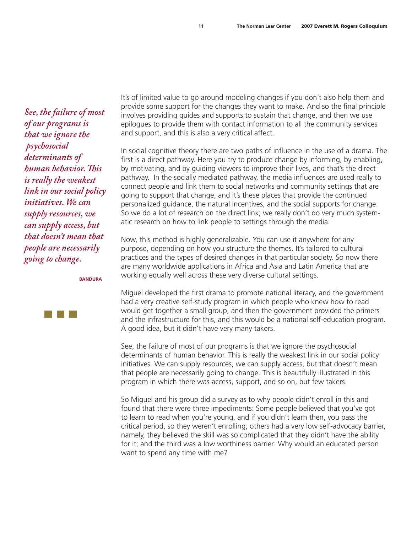*See, the failure of most of our programs is that we ignore the psychosocial determinants of human behavior. This is really the weakest link in our social policy initiatives. We can supply resources, we can supply access, but that doesn't mean that people are necessarily going to change.*

**Bandura**



It's of limited value to go around modeling changes if you don't also help them and provide some support for the changes they want to make. And so the final principle involves providing guides and supports to sustain that change, and then we use epilogues to provide them with contact information to all the community services and support, and this is also a very critical affect.

In social cognitive theory there are two paths of influence in the use of a drama. The first is a direct pathway. Here you try to produce change by informing, by enabling, by motivating, and by guiding viewers to improve their lives, and that's the direct pathway. In the socially mediated pathway, the media influences are used really to connect people and link them to social networks and community settings that are going to support that change, and it's these places that provide the continued personalized guidance, the natural incentives, and the social supports for change. So we do a lot of research on the direct link; we really don't do very much systematic research on how to link people to settings through the media.

Now, this method is highly generalizable. You can use it anywhere for any purpose, depending on how you structure the themes. It's tailored to cultural practices and the types of desired changes in that particular society. So now there are many worldwide applications in Africa and Asia and Latin America that are working equally well across these very diverse cultural settings.

Miguel developed the first drama to promote national literacy, and the government had a very creative self-study program in which people who knew how to read would get together a small group, and then the government provided the primers and the infrastructure for this, and this would be a national self-education program. A good idea, but it didn't have very many takers.

See, the failure of most of our programs is that we ignore the psychosocial determinants of human behavior. This is really the weakest link in our social policy initiatives. We can supply resources, we can supply access, but that doesn't mean that people are necessarily going to change. This is beautifully illustrated in this program in which there was access, support, and so on, but few takers.

So Miguel and his group did a survey as to why people didn't enroll in this and found that there were three impediments: Some people believed that you've got to learn to read when you're young, and if you didn't learn then, you pass the critical period, so they weren't enrolling; others had a very low self-advocacy barrier, namely, they believed the skill was so complicated that they didn't have the ability for it; and the third was a low worthiness barrier: Why would an educated person want to spend any time with me?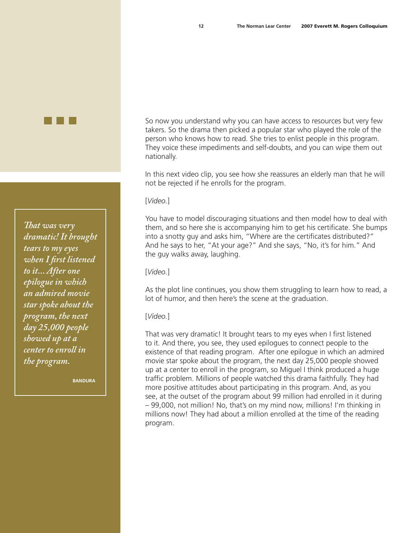*That was very dramatic! It brought tears to my eyes when I first listened to it... After one epilogue in which an admired movie star spoke about the program, the next day 25,000 people showed up at a center to enroll in the program.*

**Bandura**

So now you understand why you can have access to resources but very few takers. So the drama then picked a popular star who played the role of the person who knows how to read. She tries to enlist people in this program. They voice these impediments and self-doubts, and you can wipe them out nationally.

In this next video clip, you see how she reassures an elderly man that he will not be rejected if he enrolls for the program.

[*Video.*]

You have to model discouraging situations and then model how to deal with them, and so here she is accompanying him to get his certificate. She bumps into a snotty guy and asks him, "Where are the certificates distributed?" And he says to her, "At your age?" And she says, "No, it's for him." And the guy walks away, laughing.

[*Video.*]

As the plot line continues, you show them struggling to learn how to read, a lot of humor, and then here's the scene at the graduation.

[*Video.*]

That was very dramatic! It brought tears to my eyes when I first listened to it. And there, you see, they used epilogues to connect people to the existence of that reading program. After one epilogue in which an admired movie star spoke about the program, the next day 25,000 people showed up at a center to enroll in the program, so Miguel I think produced a huge traffic problem. Millions of people watched this drama faithfully. They had more positive attitudes about participating in this program. And, as you see, at the outset of the program about 99 million had enrolled in it during – 99,000, not million! No, that's on my mind now, millions! I'm thinking in millions now! They had about a million enrolled at the time of the reading program.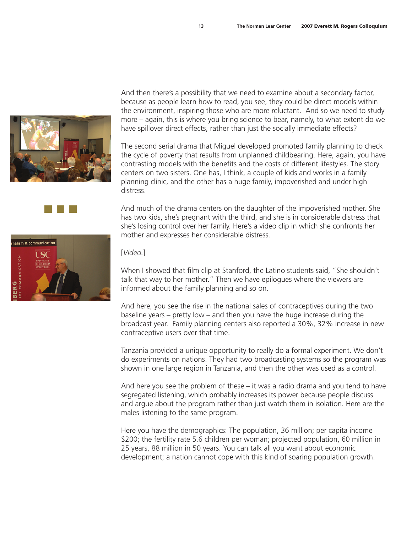

And then there's a possibility that we need to examine about a secondary factor, because as people learn how to read, you see, they could be direct models within the environment, inspiring those who are more reluctant. And so we need to study more – again, this is where you bring science to bear, namely, to what extent do we have spillover direct effects, rather than just the socially immediate effects?

The second serial drama that Miguel developed promoted family planning to check the cycle of poverty that results from unplanned childbearing. Here, again, you have contrasting models with the benefits and the costs of different lifestyles. The story centers on two sisters. One has, I think, a couple of kids and works in a family planning clinic, and the other has a huge family, impoverished and under high distress.

And much of the drama centers on the daughter of the impoverished mother. She has two kids, she's pregnant with the third, and she is in considerable distress that she's losing control over her family. Here's a video clip in which she confronts her mother and expresses her considerable distress.



# [*Video.*]

When I showed that film clip at Stanford, the Latino students said, "She shouldn't talk that way to her mother." Then we have epilogues where the viewers are informed about the family planning and so on.

And here, you see the rise in the national sales of contraceptives during the two baseline years – pretty low – and then you have the huge increase during the broadcast year. Family planning centers also reported a 30%, 32% increase in new contraceptive users over that time.

Tanzania provided a unique opportunity to really do a formal experiment. We don't do experiments on nations. They had two broadcasting systems so the program was shown in one large region in Tanzania, and then the other was used as a control.

And here you see the problem of these  $-$  it was a radio drama and you tend to have segregated listening, which probably increases its power because people discuss and argue about the program rather than just watch them in isolation. Here are the males listening to the same program.

Here you have the demographics: The population, 36 million; per capita income \$200; the fertility rate 5.6 children per woman; projected population, 60 million in 25 years, 88 million in 50 years. You can talk all you want about economic development; a nation cannot cope with this kind of soaring population growth.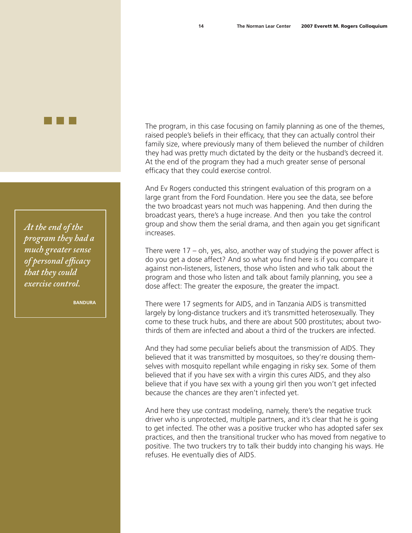*At the end of the program they had a much greater sense of personal efficacy that they could exercise control.*

**Bandura**

The program, in this case focusing on family planning as one of the themes, raised people's beliefs in their efficacy, that they can actually control their family size, where previously many of them believed the number of children they had was pretty much dictated by the deity or the husband's decreed it. At the end of the program they had a much greater sense of personal efficacy that they could exercise control.

And Ev Rogers conducted this stringent evaluation of this program on a large grant from the Ford Foundation. Here you see the data, see before the two broadcast years not much was happening. And then during the broadcast years, there's a huge increase. And then you take the control group and show them the serial drama, and then again you get significant increases.

There were 17 – oh, yes, also, another way of studying the power affect is do you get a dose affect? And so what you find here is if you compare it against non-listeners, listeners, those who listen and who talk about the program and those who listen and talk about family planning, you see a dose affect: The greater the exposure, the greater the impact.

There were 17 segments for AIDS, and in Tanzania AIDS is transmitted largely by long-distance truckers and it's transmitted heterosexually. They come to these truck hubs, and there are about 500 prostitutes; about twothirds of them are infected and about a third of the truckers are infected.

And they had some peculiar beliefs about the transmission of AIDS. They believed that it was transmitted by mosquitoes, so they're dousing themselves with mosquito repellant while engaging in risky sex. Some of them believed that if you have sex with a virgin this cures AIDS, and they also believe that if you have sex with a young girl then you won't get infected because the chances are they aren't infected yet.

And here they use contrast modeling, namely, there's the negative truck driver who is unprotected, multiple partners, and it's clear that he is going to get infected. The other was a positive trucker who has adopted safer sex practices, and then the transitional trucker who has moved from negative to positive. The two truckers try to talk their buddy into changing his ways. He refuses. He eventually dies of AIDS.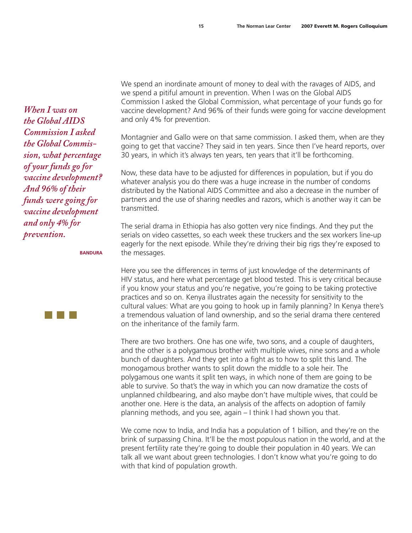We spend an inordinate amount of money to deal with the ravages of AIDS, and we spend a pitiful amount in prevention. When I was on the Global AIDS Commission I asked the Global Commission, what percentage of your funds go for vaccine development? And 96% of their funds were going for vaccine development and only 4% for prevention.

Montagnier and Gallo were on that same commission. I asked them, when are they going to get that vaccine? They said in ten years. Since then I've heard reports, over 30 years, in which it's always ten years, ten years that it'll be forthcoming.

Now, these data have to be adjusted for differences in population, but if you do whatever analysis you do there was a huge increase in the number of condoms distributed by the National AIDS Committee and also a decrease in the number of partners and the use of sharing needles and razors, which is another way it can be transmitted.

The serial drama in Ethiopia has also gotten very nice findings. And they put the serials on video cassettes, so each week these truckers and the sex workers line-up eagerly for the next episode. While they're driving their big rigs they're exposed to the messages.

Here you see the differences in terms of just knowledge of the determinants of HIV status, and here what percentage get blood tested. This is very critical because if you know your status and you're negative, you're going to be taking protective practices and so on. Kenya illustrates again the necessity for sensitivity to the cultural values: What are you going to hook up in family planning? In Kenya there's a tremendous valuation of land ownership, and so the serial drama there centered on the inheritance of the family farm.

There are two brothers. One has one wife, two sons, and a couple of daughters, and the other is a polygamous brother with multiple wives, nine sons and a whole bunch of daughters. And they get into a fight as to how to split this land. The monogamous brother wants to split down the middle to a sole heir. The polygamous one wants it split ten ways, in which none of them are going to be able to survive. So that's the way in which you can now dramatize the costs of unplanned childbearing, and also maybe don't have multiple wives, that could be another one. Here is the data, an analysis of the affects on adoption of family planning methods, and you see, again – I think I had shown you that.

We come now to India, and India has a population of 1 billion, and they're on the brink of surpassing China. It'll be the most populous nation in the world, and at the present fertility rate they're going to double their population in 40 years. We can talk all we want about green technologies. I don't know what you're going to do with that kind of population growth.

*When I was on the Global AIDS Commission I asked the Global Commission, what percentage of your funds go for vaccine development? And 96% of their funds were going for vaccine development and only 4% for prevention.*

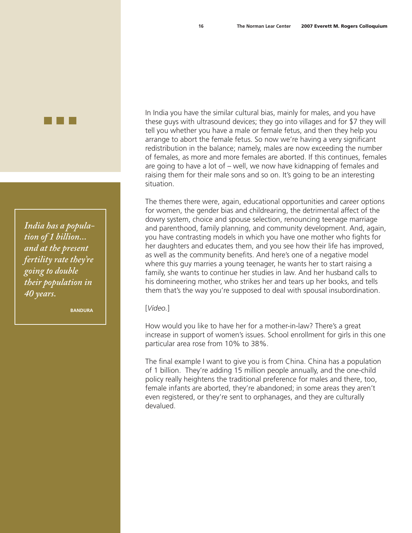In India you have the similar cultural bias, mainly for males, and you have these guys with ultrasound devices; they go into villages and for \$7 they will tell you whether you have a male or female fetus, and then they help you arrange to abort the female fetus. So now we're having a very significant redistribution in the balance; namely, males are now exceeding the number of females, as more and more females are aborted. If this continues, females are going to have a lot of – well, we now have kidnapping of females and raising them for their male sons and so on. It's going to be an interesting situation.

The themes there were, again, educational opportunities and career options for women, the gender bias and childrearing, the detrimental affect of the dowry system, choice and spouse selection, renouncing teenage marriage and parenthood, family planning, and community development. And, again, you have contrasting models in which you have one mother who fights for her daughters and educates them, and you see how their life has improved, as well as the community benefits. And here's one of a negative model where this guy marries a young teenager, he wants her to start raising a family, she wants to continue her studies in law. And her husband calls to his domineering mother, who strikes her and tears up her books, and tells them that's the way you're supposed to deal with spousal insubordination.

[*Video.*]

How would you like to have her for a mother-in-law? There's a great increase in support of women's issues. School enrollment for girls in this one particular area rose from 10% to 38%.

The final example I want to give you is from China. China has a population of 1 billion. They're adding 15 million people annually, and the one-child policy really heightens the traditional preference for males and there, too, female infants are aborted, they're abandoned; in some areas they aren't even registered, or they're sent to orphanages, and they are culturally devalued.

*India has a population of 1 billion... and at the present fertility rate they're going to double their population in 40 years.*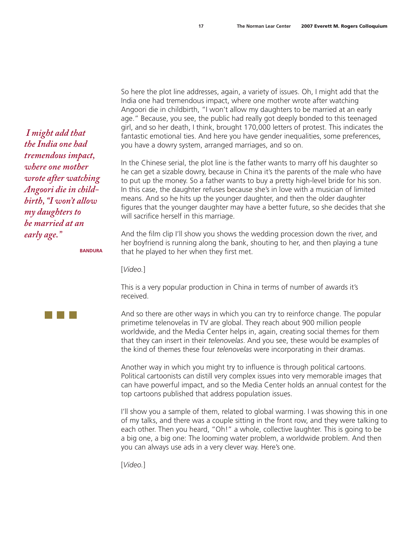So here the plot line addresses, again, a variety of issues. Oh, I might add that the India one had tremendous impact, where one mother wrote after watching Angoori die in childbirth, "I won't allow my daughters to be married at an early age." Because, you see, the public had really got deeply bonded to this teenaged girl, and so her death, I think, brought 170,000 letters of protest. This indicates the fantastic emotional ties. And here you have gender inequalities, some preferences, you have a dowry system, arranged marriages, and so on.

In the Chinese serial, the plot line is the father wants to marry off his daughter so he can get a sizable dowry, because in China it's the parents of the male who have to put up the money. So a father wants to buy a pretty high-level bride for his son. In this case, the daughter refuses because she's in love with a musician of limited means. And so he hits up the younger daughter, and then the older daughter figures that the younger daughter may have a better future, so she decides that she will sacrifice herself in this marriage.

And the film clip I'll show you shows the wedding procession down the river, and her boyfriend is running along the bank, shouting to her, and then playing a tune that he played to her when they first met.

[*Video.*]

This is a very popular production in China in terms of number of awards it's received.

And so there are other ways in which you can try to reinforce change. The popular primetime telenovelas in TV are global. They reach about 900 million people worldwide, and the Media Center helps in, again, creating social themes for them that they can insert in their *telenovelas*. And you see, these would be examples of the kind of themes these four *telenovelas* were incorporating in their dramas.

Another way in which you might try to influence is through political cartoons. Political cartoonists can distill very complex issues into very memorable images that can have powerful impact, and so the Media Center holds an annual contest for the top cartoons published that address population issues.

I'll show you a sample of them, related to global warming. I was showing this in one of my talks, and there was a couple sitting in the front row, and they were talking to each other. Then you heard, "Oh!" a whole, collective laughter. This is going to be a big one, a big one: The looming water problem, a worldwide problem. And then you can always use ads in a very clever way. Here's one.

[*Video.*]

 *I might add that the India one had tremendous impact, where one mother wrote after watching Angoori die in childbirth, "I won't allow my daughters to be married at an early age."*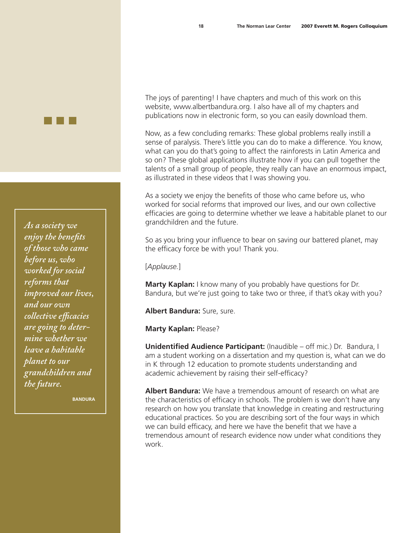*As a society we enjoy the benefits of those who came before us, who worked for social reforms that improved our lives, and our own collective efficacies are going to determine whether we leave a habitable planet to our grandchildren and the future.*

**Bandura**

The joys of parenting! I have chapters and much of this work on this website, [www.albertbandura.org.](http://www.albertbandura.org) I also have all of my chapters and publications now in electronic form, so you can easily download them.

Now, as a few concluding remarks: These global problems really instill a sense of paralysis. There's little you can do to make a difference. You know, what can you do that's going to affect the rainforests in Latin America and so on? These global applications illustrate how if you can pull together the talents of a small group of people, they really can have an enormous impact, as illustrated in these videos that I was showing you.

As a society we enjoy the benefits of those who came before us, who worked for social reforms that improved our lives, and our own collective efficacies are going to determine whether we leave a habitable planet to our grandchildren and the future.

So as you bring your influence to bear on saving our battered planet, may the efficacy force be with you! Thank you.

[*Applause.*]

**Marty Kaplan:** I know many of you probably have questions for Dr. Bandura, but we're just going to take two or three, if that's okay with you?

**Albert Bandura:** Sure, sure.

**Marty Kaplan:** Please?

**Unidentified Audience Participant:** (Inaudible – off mic.) Dr. Bandura, I am a student working on a dissertation and my question is, what can we do in K through 12 education to promote students understanding and academic achievement by raising their self-efficacy?

**Albert Bandura:** We have a tremendous amount of research on what are the characteristics of efficacy in schools. The problem is we don't have any research on how you translate that knowledge in creating and restructuring educational practices. So you are describing sort of the four ways in which we can build efficacy, and here we have the benefit that we have a tremendous amount of research evidence now under what conditions they work.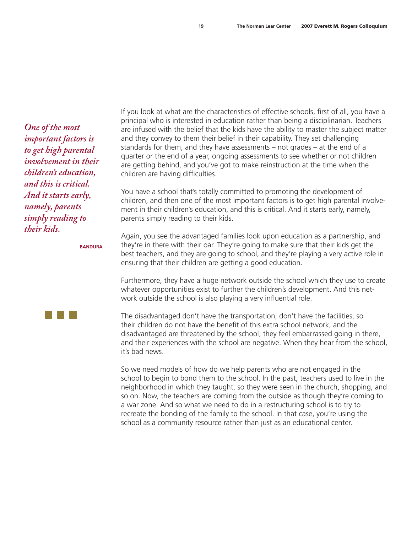*One of the most important factors is to get high parental involvement in their children's education, and this is critical. And it starts early, namely, parents simply reading to their kids.*

**Bandura**

If you look at what are the characteristics of effective schools, first of all, you have a principal who is interested in education rather than being a disciplinarian. Teachers are infused with the belief that the kids have the ability to master the subject matter and they convey to them their belief in their capability. They set challenging standards for them, and they have assessments – not grades – at the end of a quarter or the end of a year, ongoing assessments to see whether or not children are getting behind, and you've got to make reinstruction at the time when the children are having difficulties.

You have a school that's totally committed to promoting the development of children, and then one of the most important factors is to get high parental involvement in their children's education, and this is critical. And it starts early, namely, parents simply reading to their kids.

Again, you see the advantaged families look upon education as a partnership, and they're in there with their oar. They're going to make sure that their kids get the best teachers, and they are going to school, and they're playing a very active role in ensuring that their children are getting a good education.

Furthermore, they have a huge network outside the school which they use to create whatever opportunities exist to further the children's development. And this network outside the school is also playing a very influential role.

The disadvantaged don't have the transportation, don't have the facilities, so their children do not have the benefit of this extra school network, and the disadvantaged are threatened by the school, they feel embarrassed going in there, and their experiences with the school are negative. When they hear from the school, it's bad news.

So we need models of how do we help parents who are not engaged in the school to begin to bond them to the school. In the past, teachers used to live in the neighborhood in which they taught, so they were seen in the church, shopping, and so on. Now, the teachers are coming from the outside as though they're coming to a war zone. And so what we need to do in a restructuring school is to try to recreate the bonding of the family to the school. In that case, you're using the school as a community resource rather than just as an educational center.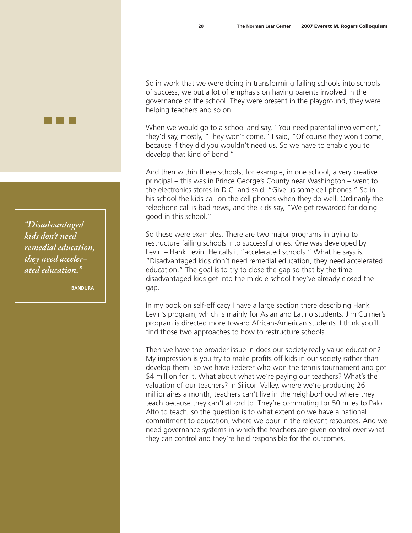So in work that we were doing in transforming failing schools into schools of success, we put a lot of emphasis on having parents involved in the governance of the school. They were present in the playground, they were helping teachers and so on.

When we would go to a school and say, "You need parental involvement," they'd say, mostly, "They won't come." I said, "Of course they won't come, because if they did you wouldn't need us. So we have to enable you to develop that kind of bond."

And then within these schools, for example, in one school, a very creative principal – this was in Prince George's County near Washington – went to the electronics stores in D.C. and said, "Give us some cell phones." So in his school the kids call on the cell phones when they do well. Ordinarily the telephone call is bad news, and the kids say, "We get rewarded for doing good in this school."

So these were examples. There are two major programs in trying to restructure failing schools into successful ones. One was developed by Levin – Hank Levin. He calls it "accelerated schools." What he says is, "Disadvantaged kids don't need remedial education, they need accelerated education." The goal is to try to close the gap so that by the time disadvantaged kids get into the middle school they've already closed the gap.

In my book on self-efficacy I have a large section there describing Hank Levin's program, which is mainly for Asian and Latino students. Jim Culmer's program is directed more toward African-American students. I think you'll find those two approaches to how to restructure schools.

Then we have the broader issue in does our society really value education? My impression is you try to make profits off kids in our society rather than develop them. So we have Federer who won the tennis tournament and got \$4 million for it. What about what we're paying our teachers? What's the valuation of our teachers? In Silicon Valley, where we're producing 26 millionaires a month, teachers can't live in the neighborhood where they teach because they can't afford to. They're commuting for 50 miles to Palo Alto to teach, so the question is to what extent do we have a national commitment to education, where we pour in the relevant resources. And we need governance systems in which the teachers are given control over what they can control and they're held responsible for the outcomes.

*"Disadvantaged kids don't need remedial education, they need accelerated education."*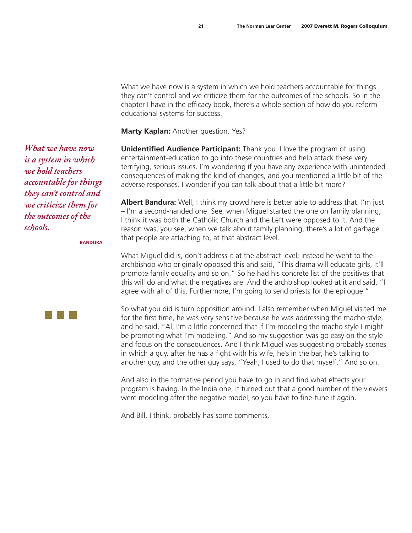What we have now is a system in which we hold teachers accountable for things they can't control and we criticize them for the outcomes of the schools. So in the chapter I have in the efficacy book, there's a whole section of how do you reform educational systems for success.

**Marty Kaplan:** Another question. Yes?

**Unidentified Audience Participant:** Thank you. I love the program of using entertainment-education to go into these countries and help attack these very terrifying, serious issues. I'm wondering if you have any experience with unintended consequences of making the kind of changes, and you mentioned a little bit of the adverse responses. I wonder if you can talk about that a little bit more?

**Albert Bandura:** Well, I think my crowd here is better able to address that. I'm just – I'm a second-handed one. See, when Miguel started the one on family planning, I think it was both the Catholic Church and the Left were opposed to it. And the reason was, you see, when we talk about family planning, there's a lot of garbage that people are attaching to, at that abstract level.

What Miguel did is, don't address it at the abstract level; instead he went to the archbishop who originally opposed this and said, "This drama will educate girls, it'll promote family equality and so on." So he had his concrete list of the positives that this will do and what the negatives are. And the archbishop looked at it and said, "I agree with all of this. Furthermore, I'm going to send priests for the epilogue."

So what you did is turn opposition around. I also remember when Miguel visited me for the first time, he was very sensitive because he was addressing the macho style, and he said, "Al, I'm a little concerned that if I'm modeling the macho style I might be promoting what I'm modeling." And so my suggestion was go easy on the style and focus on the consequences. And I think Miguel was suggesting probably scenes in which a guy, after he has a fight with his wife, he's in the bar, he's talking to another guy, and the other guy says, "Yeah, I used to do that myself." And so on.

And also in the formative period you have to go in and find what effects your program is having. In the India one, it turned out that a good number of the viewers were modeling after the negative model, so you have to fine-tune it again.

And Bill, I think, probably has some comments.

*What we have now is a system in which we hold teachers accountable for things they can't control and we criticize them for the outcomes of the schools.*

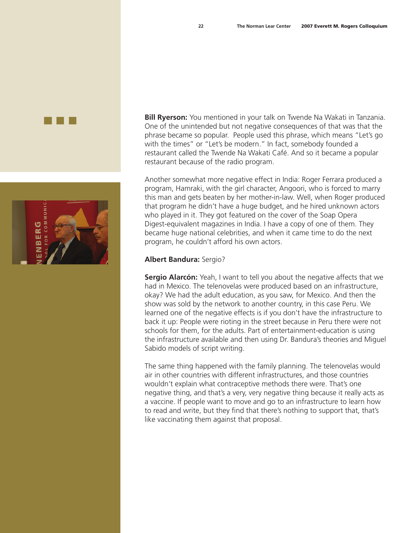

**Bill Ryerson:** You mentioned in your talk on Twende Na Wakati in Tanzania. One of the unintended but not negative consequences of that was that the phrase became so popular. People used this phrase, which means "Let's go with the times" or "Let's be modern." In fact, somebody founded a restaurant called the Twende Na Wakati Café. And so it became a popular restaurant because of the radio program.

Another somewhat more negative effect in India: Roger Ferrara produced a program, Hamraki, with the girl character, Angoori, who is forced to marry this man and gets beaten by her mother-in-law. Well, when Roger produced that program he didn't have a huge budget, and he hired unknown actors who played in it. They got featured on the cover of the Soap Opera Digest-equivalent magazines in India. I have a copy of one of them. They became huge national celebrities, and when it came time to do the next program, he couldn't afford his own actors.

# **Albert Bandura:** Sergio?

**Sergio Alarcón:** Yeah, I want to tell you about the negative affects that we had in Mexico. The telenovelas were produced based on an infrastructure, okay? We had the adult education, as you saw, for Mexico. And then the show was sold by the network to another country, in this case Peru. We learned one of the negative effects is if you don't have the infrastructure to back it up: People were rioting in the street because in Peru there were not schools for them, for the adults. Part of entertainment-education is using the infrastructure available and then using Dr. Bandura's theories and Miguel Sabido models of script writing.

The same thing happened with the family planning. The telenovelas would air in other countries with different infrastructures, and those countries wouldn't explain what contraceptive methods there were. That's one negative thing, and that's a very, very negative thing because it really acts as a vaccine. If people want to move and go to an infrastructure to learn how to read and write, but they find that there's nothing to support that, that's like vaccinating them against that proposal.